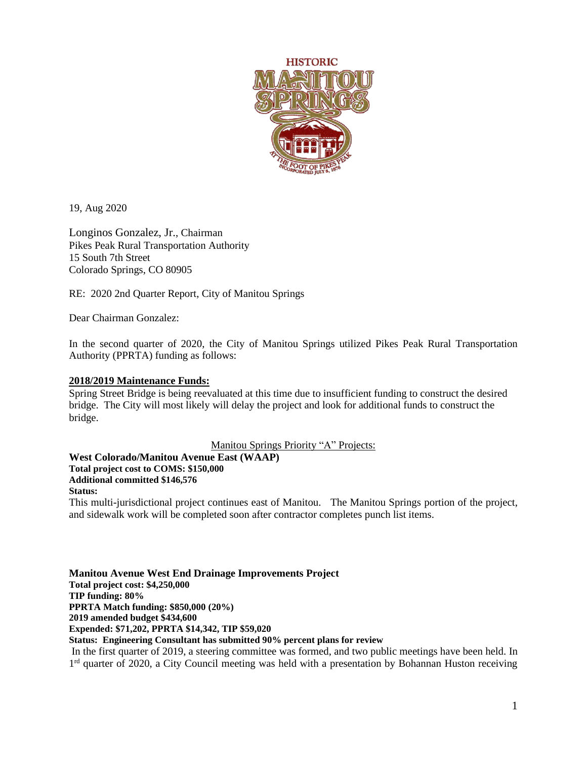

19, Aug 2020

Longinos Gonzalez, Jr., Chairman Pikes Peak Rural Transportation Authority 15 South 7th Street Colorado Springs, CO 80905

RE: 2020 2nd Quarter Report, City of Manitou Springs

Dear Chairman Gonzalez:

In the second quarter of 2020, the City of Manitou Springs utilized Pikes Peak Rural Transportation Authority (PPRTA) funding as follows:

### **2018/2019 Maintenance Funds:**

Spring Street Bridge is being reevaluated at this time due to insufficient funding to construct the desired bridge. The City will most likely will delay the project and look for additional funds to construct the bridge.

Manitou Springs Priority "A" Projects:

**West Colorado/Manitou Avenue East (WAAP)**

**Total project cost to COMS: \$150,000**

**Additional committed \$146,576**

#### **Status:**

This multi-jurisdictional project continues east of Manitou. The Manitou Springs portion of the project, and sidewalk work will be completed soon after contractor completes punch list items.

**Manitou Avenue West End Drainage Improvements Project Total project cost: \$4,250,000 TIP funding: 80% PPRTA Match funding: \$850,000 (20%) 2019 amended budget \$434,600 Expended: \$71,202, PPRTA \$14,342, TIP \$59,020 Status: Engineering Consultant has submitted 90% percent plans for review** In the first quarter of 2019, a steering committee was formed, and two public meetings have been held. In

1<sup>rd</sup> quarter of 2020, a City Council meeting was held with a presentation by Bohannan Huston receiving